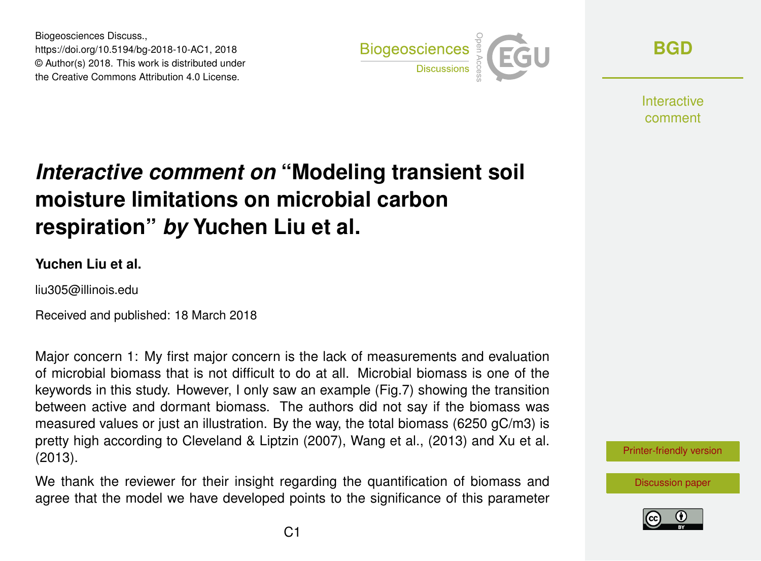Biogeosciences Discuss., https://doi.org/10.5194/bg-2018-10-AC1, 2018 © Author(s) 2018. This work is distributed under the Creative Commons Attribution 4.0 License.



**[BGD](https://www.biogeosciences-discuss.net/)**

**Interactive** comment

# *Interactive comment on* **"Modeling transient soil moisture limitations on microbial carbon respiration"** *by* **Yuchen Liu et al.**

#### **Yuchen Liu et al.**

liu305@illinois.edu

Received and published: 18 March 2018

Major concern 1: My first major concern is the lack of measurements and evaluation of microbial biomass that is not difficult to do at all. Microbial biomass is one of the keywords in this study. However, I only saw an example (Fig.7) showing the transition between active and dormant biomass. The authors did not say if the biomass was measured values or just an illustration. By the way, the total biomass (6250 gC/m3) is pretty high according to Cleveland & Liptzin (2007), Wang et al., (2013) and Xu et al. (2013).

We thank the reviewer for their insight regarding the quantification of biomass and agree that the model we have developed points to the significance of this parameter [Printer-friendly version](https://www.biogeosciences-discuss.net/bg-2018-10/bg-2018-10-AC1-print.pdf)

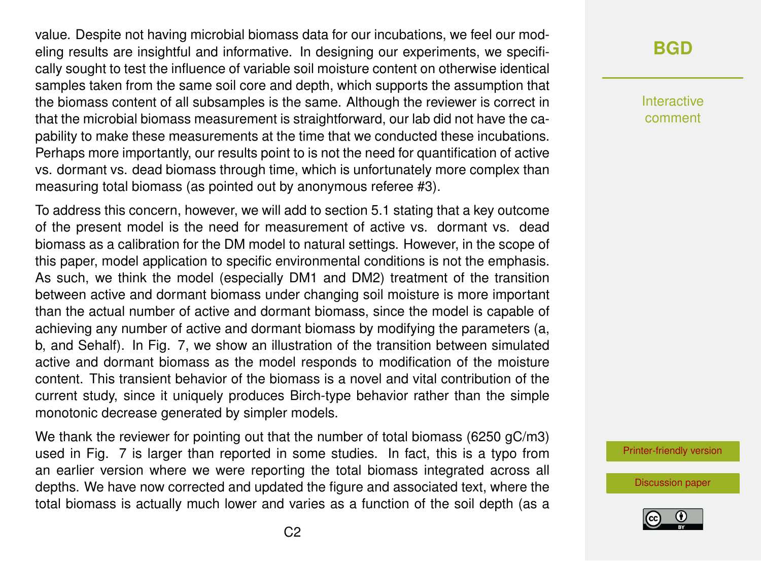value. Despite not having microbial biomass data for our incubations, we feel our modeling results are insightful and informative. In designing our experiments, we specifically sought to test the influence of variable soil moisture content on otherwise identical samples taken from the same soil core and depth, which supports the assumption that the biomass content of all subsamples is the same. Although the reviewer is correct in that the microbial biomass measurement is straightforward, our lab did not have the capability to make these measurements at the time that we conducted these incubations. Perhaps more importantly, our results point to is not the need for quantification of active vs. dormant vs. dead biomass through time, which is unfortunately more complex than measuring total biomass (as pointed out by anonymous referee #3).

To address this concern, however, we will add to section 5.1 stating that a key outcome of the present model is the need for measurement of active vs. dormant vs. dead biomass as a calibration for the DM model to natural settings. However, in the scope of this paper, model application to specific environmental conditions is not the emphasis. As such, we think the model (especially DM1 and DM2) treatment of the transition between active and dormant biomass under changing soil moisture is more important than the actual number of active and dormant biomass, since the model is capable of achieving any number of active and dormant biomass by modifying the parameters (a, b, and Sehalf). In Fig. 7, we show an illustration of the transition between simulated active and dormant biomass as the model responds to modification of the moisture content. This transient behavior of the biomass is a novel and vital contribution of the current study, since it uniquely produces Birch-type behavior rather than the simple monotonic decrease generated by simpler models.

We thank the reviewer for pointing out that the number of total biomass (6250 gC/m3) used in Fig. 7 is larger than reported in some studies. In fact, this is a typo from an earlier version where we were reporting the total biomass integrated across all depths. We have now corrected and updated the figure and associated text, where the total biomass is actually much lower and varies as a function of the soil depth (as a

### **[BGD](https://www.biogeosciences-discuss.net/)**

Interactive comment

[Printer-friendly version](https://www.biogeosciences-discuss.net/bg-2018-10/bg-2018-10-AC1-print.pdf)

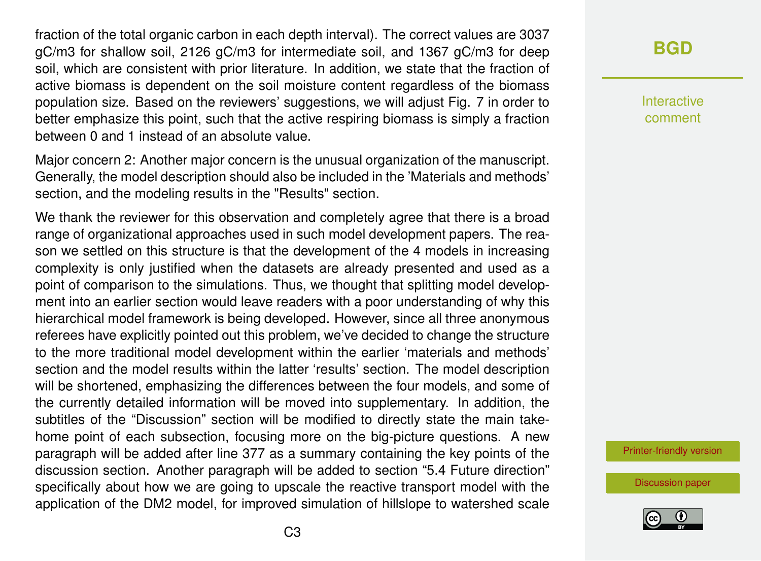fraction of the total organic carbon in each depth interval). The correct values are 3037 gC/m3 for shallow soil, 2126 gC/m3 for intermediate soil, and 1367 gC/m3 for deep soil, which are consistent with prior literature. In addition, we state that the fraction of active biomass is dependent on the soil moisture content regardless of the biomass population size. Based on the reviewers' suggestions, we will adjust Fig. 7 in order to better emphasize this point, such that the active respiring biomass is simply a fraction between 0 and 1 instead of an absolute value.

Major concern 2: Another major concern is the unusual organization of the manuscript. Generally, the model description should also be included in the 'Materials and methods' section, and the modeling results in the "Results" section.

We thank the reviewer for this observation and completely agree that there is a broad range of organizational approaches used in such model development papers. The reason we settled on this structure is that the development of the 4 models in increasing complexity is only justified when the datasets are already presented and used as a point of comparison to the simulations. Thus, we thought that splitting model development into an earlier section would leave readers with a poor understanding of why this hierarchical model framework is being developed. However, since all three anonymous referees have explicitly pointed out this problem, we've decided to change the structure to the more traditional model development within the earlier 'materials and methods' section and the model results within the latter 'results' section. The model description will be shortened, emphasizing the differences between the four models, and some of the currently detailed information will be moved into supplementary. In addition, the subtitles of the "Discussion" section will be modified to directly state the main takehome point of each subsection, focusing more on the big-picture questions. A new paragraph will be added after line 377 as a summary containing the key points of the discussion section. Another paragraph will be added to section "5.4 Future direction" specifically about how we are going to upscale the reactive transport model with the application of the DM2 model, for improved simulation of hillslope to watershed scale

### **[BGD](https://www.biogeosciences-discuss.net/)**

Interactive comment

[Printer-friendly version](https://www.biogeosciences-discuss.net/bg-2018-10/bg-2018-10-AC1-print.pdf)

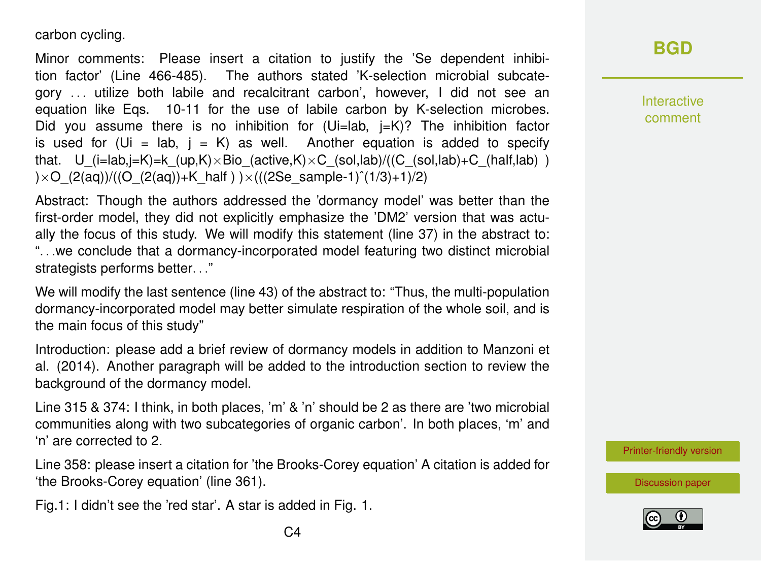carbon cycling.

Minor comments: Please insert a citation to justify the 'Se dependent inhibition factor' (Line 466-485). The authors stated 'K-selection microbial subcategory . . . utilize both labile and recalcitrant carbon', however, I did not see an equation like Eqs. 10-11 for the use of labile carbon by K-selection microbes. Did you assume there is no inhibition for  $(Ui=lab, i=K)?$  The inhibition factor is used for (Ui = lab,  $i = K$ ) as well. Another equation is added to specify that. U (i=lab,i=K)=k (up,K)×Bio (active,K)×C (sol,lab)/((C (sol,lab)+C (half,lab) ) ) $\times$ O $(2(aq))/((O (2(aq))$ +K half )  $)\times$ (((2Se sample-1)<sup>^</sup>(1/3)+1)/2)

Abstract: Though the authors addressed the 'dormancy model' was better than the first-order model, they did not explicitly emphasize the 'DM2' version that was actually the focus of this study. We will modify this statement (line 37) in the abstract to: ". . .we conclude that a dormancy-incorporated model featuring two distinct microbial strategists performs better. . ."

We will modify the last sentence (line 43) of the abstract to: "Thus, the multi-population dormancy-incorporated model may better simulate respiration of the whole soil, and is the main focus of this study"

Introduction: please add a brief review of dormancy models in addition to Manzoni et al. (2014). Another paragraph will be added to the introduction section to review the background of the dormancy model.

Line 315 & 374: I think, in both places, 'm' & 'n' should be 2 as there are 'two microbial communities along with two subcategories of organic carbon'. In both places, 'm' and 'n' are corrected to 2.

Line 358: please insert a citation for 'the Brooks-Corey equation' A citation is added for 'the Brooks-Corey equation' (line 361).

Fig.1: I didn't see the 'red star'. A star is added in Fig. 1.

## **[BGD](https://www.biogeosciences-discuss.net/)**

Interactive comment

[Printer-friendly version](https://www.biogeosciences-discuss.net/bg-2018-10/bg-2018-10-AC1-print.pdf)